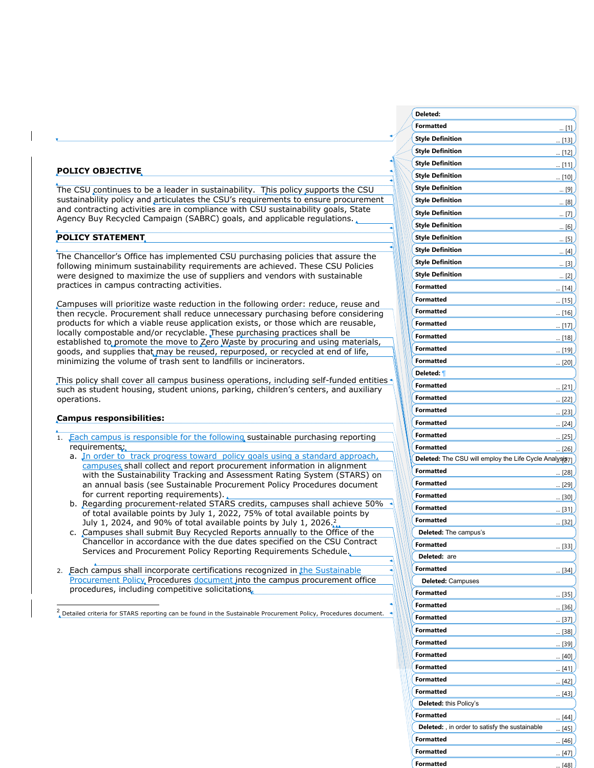### **POLICY OBJECTIVE**

The CSU continues to be a leader in sustainability. This policy supports the CSU sustainability policy and articulates the CSU's requirements to ensure procurement and contracting activities are in compliance with CSU sustainability goals, State Agency Buy Recycled Campaign (SABRC) goals, and applicable regulations.

## **POLICY STATEMENT**

The Chancellor's Office has implemented CSU purchasing policies that assure the following minimum sustainability requirements are achieved. These CSU Policies were designed to maximize the use of suppliers and vendors with sustainable practices in campus contracting activities.

Campuses will prioritize waste reduction in the following order: reduce, reuse and then recycle. Procurement shall reduce unnecessary purchasing before considering products for which a viable reuse application exists, or those which are reusable, locally compostable and/or recyclable. These purchasing practices shall be established to promote the move to Zero Waste by procuring and using materials, goods, and supplies that may be reused, repurposed, or recycled at end of life, minimizing the volume of trash sent to landfills or incinerators.

This policy shall cover all campus business operations, including self-funded entities such as student housing, student unions, parking, children's centers, and auxiliary operations.

#### **Campus responsibilities:**

- 1. Each campus is responsible for the following sustainable purchasing reporting requirements:
	- a. In order to track progress toward policy goals using a standard approach, campuses shall collect and report procurement information in alignment with the Sustainability Tracking and Assessment Rating System (STARS) on an annual basis (see Sustainable Procurement Policy Procedures document for current reporting requirements).
	- b. Regarding procurement-related STARS credits, campuses shall achieve 50% of total available points by July 1, 2022, 75% of total available points by July 1, 2024, and 90% of total available points by July 1, 2026. $\frac{2}{11}$
	- c. Campuses shall submit Buy Recycled Reports annually to the Office of the Chancellor in accordance with the due dates specified on the CSU Contract Services and Procurement Policy Reporting Requirements Schedule.
- 2. Each campus shall incorporate certifications recognized in the Sustainable Procurement Policy, Procedures document into the campus procurement office procedures, including competitive solicitations.

 $\frac{2}{\sqrt{\pi}}$  Detailed criteria for STARS reporting can be found in the Sustainable Procurement Policy, Procedures document.

| Deleted:                                               |              |
|--------------------------------------------------------|--------------|
| Formatted                                              | $\ldots$ [1] |
| <b>Style Definition</b>                                | [13]         |
| <b>Style Definition</b>                                | [12]         |
| <b>Style Definition</b>                                | <u> [11]</u> |
| <b>Style Definition</b>                                | [10]         |
| <b>Style Definition</b>                                | [9]          |
| <b>Style Definition</b>                                | <u> [8]</u>  |
| <b>Style Definition</b>                                | [7]          |
| <b>Style Definition</b>                                | <u> [6]</u>  |
| <b>Style Definition</b>                                | [5]          |
| <b>Style Definition</b>                                | $\ldots$ [4] |
| <b>Style Definition</b>                                |              |
| <b>Style Definition</b>                                | [3]          |
| <b>Formatted</b>                                       | [2]          |
| <b>Formatted</b>                                       | [14]         |
| <b>Formatted</b>                                       | [15]         |
|                                                        | [16]         |
| <b>Formatted</b>                                       | [17]         |
| <b>Formatted</b>                                       | [18]         |
| <b>Formatted</b>                                       | [19]         |
| <b>Formatted</b>                                       | <u> [20]</u> |
| Deleted: 1                                             |              |
| <b>Formatted</b>                                       | [21]         |
| <b>Formatted</b>                                       | [22]         |
| <b>Formatted</b>                                       | [23]         |
| <b>Formatted</b>                                       | [24]         |
|                                                        |              |
| <b>Formatted</b>                                       | [25]         |
| <b>Formatted</b>                                       | [26]         |
| Deleted: The CSU will employ the Life Cycle Analysis7] |              |
| <b>Formatted</b>                                       | [28]         |
| <b>Formatted</b>                                       | [29]         |
| <b>Formatted</b>                                       | [30]         |
| <b>Formatted</b>                                       | [31]         |
| Formatted                                              | [32]         |
| Deleted: The campus's                                  |              |
| Formatted                                              | $[33]$       |
| Deleted: are                                           |              |
| <b>Formatted</b>                                       | [34]         |
| <b>Deleted: Campuses</b>                               |              |
| Formatted                                              | [35]         |
| <b>Formatted</b>                                       | <u> [36]</u> |
| <b>Formatted</b>                                       | [37]         |
| <b>Formatted</b>                                       | [38]         |
| <b>Formatted</b>                                       | [39]         |
| <b>Formatted</b>                                       | [40]         |
| <b>Formatted</b>                                       | [41]         |
| <b>Formatted</b>                                       |              |
| <b>Formatted</b>                                       | [42]         |
| Deleted: this Policy's                                 | [43]         |
| <b>Formatted</b>                                       |              |
| Deleted: , in order to satisfy the sustainable         | $\sim$ [44]  |
| <b>Formatted</b>                                       | [45]         |
| <b>Formatted</b>                                       | [46]<br>[47] |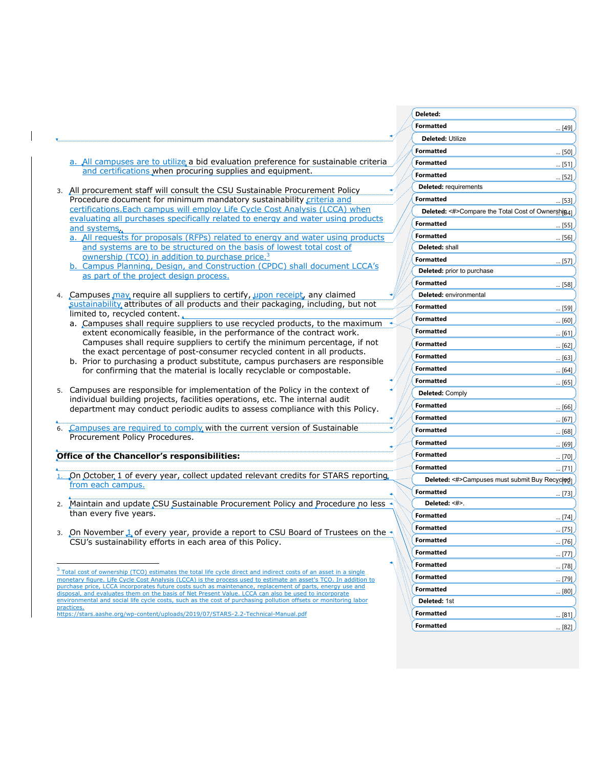|                                                                                                                                                                                                                             | Deleted:                                          |               |
|-----------------------------------------------------------------------------------------------------------------------------------------------------------------------------------------------------------------------------|---------------------------------------------------|---------------|
|                                                                                                                                                                                                                             | <b>Formatted</b>                                  | [49]          |
|                                                                                                                                                                                                                             | Deleted: Utilize                                  |               |
|                                                                                                                                                                                                                             | <b>Formatted</b>                                  | $\ldots$ [50] |
| a. All campuses are to utilize a bid evaluation preference for sustainable criteria                                                                                                                                         | <b>Formatted</b>                                  | $\ldots$ [51] |
| and certifications when procuring supplies and equipment.                                                                                                                                                                   | <b>Formatted</b>                                  | [52]          |
|                                                                                                                                                                                                                             | <b>Deleted:</b> requirements                      |               |
| 3. All procurement staff will consult the CSU Sustainable Procurement Policy<br>Procedure document for minimum mandatory sustainability criteria and                                                                        | <b>Formatted</b>                                  |               |
| certifications. Each campus will employ Life Cycle Cost Analysis (LCCA) when                                                                                                                                                | Deleted: <#>Compare the Total Cost of Ownershig4] | [53]          |
| evaluating all purchases specifically related to energy and water using products                                                                                                                                            | <b>Formatted</b>                                  |               |
| and systems.                                                                                                                                                                                                                |                                                   | $\ldots$ [55] |
| a. All requests for proposals (RFPs) related to energy and water using products                                                                                                                                             | <b>Formatted</b>                                  | $\ldots$ [56] |
| and systems are to be structured on the basis of lowest total cost of                                                                                                                                                       | Deleted: shall                                    |               |
| ownership (TCO) in addition to purchase price. <sup>3</sup><br>b. Campus Planning, Design, and Construction (CPDC) shall document LCCA's                                                                                    | <b>Formatted</b>                                  | $\ldots$ [57] |
| as part of the project design process.                                                                                                                                                                                      | Deleted: prior to purchase                        |               |
|                                                                                                                                                                                                                             | <b>Formatted</b>                                  | [58]          |
| 4. Campuses may require all suppliers to certify, upon receipt, any claimed                                                                                                                                                 | Deleted: environmental                            |               |
| sustainability attributes of all products and their packaging, including, but not                                                                                                                                           | <b>Formatted</b>                                  | $\ldots$ [59] |
| limited to, recycled content.                                                                                                                                                                                               | <b>Formatted</b>                                  | [60]          |
| a. Campuses shall require suppliers to use recycled products, to the maximum<br>extent economically feasible, in the performance of the contract work.                                                                      | <b>Formatted</b>                                  | $\ldots$ [61] |
| Campuses shall require suppliers to certify the minimum percentage, if not                                                                                                                                                  | <b>Formatted</b>                                  |               |
| the exact percentage of post-consumer recycled content in all products.                                                                                                                                                     | <b>Formatted</b>                                  | $\ldots$ [62] |
| b. Prior to purchasing a product substitute, campus purchasers are responsible                                                                                                                                              |                                                   | $\ldots$ [63] |
| for confirming that the material is locally recyclable or compostable.                                                                                                                                                      | <b>Formatted</b>                                  | [64]          |
|                                                                                                                                                                                                                             | <b>Formatted</b>                                  | [65]          |
| 5. Campuses are responsible for implementation of the Policy in the context of<br>individual building projects, facilities operations, etc. The internal audit                                                              | <b>Deleted: Comply</b>                            |               |
| department may conduct periodic audits to assess compliance with this Policy.                                                                                                                                               | <b>Formatted</b>                                  | $\ldots$ [66] |
|                                                                                                                                                                                                                             | Formatted                                         | $\ldots$ [67] |
| Campuses are required to comply with the current version of Sustainable<br>6.                                                                                                                                               | <b>Formatted</b>                                  | [68]          |
| Procurement Policy Procedures.                                                                                                                                                                                              | <b>Formatted</b>                                  | [69]          |
| Office of the Chancellor's responsibilities:                                                                                                                                                                                | <b>Formatted</b>                                  |               |
|                                                                                                                                                                                                                             | <b>Formatted</b>                                  | $\ldots$ [70] |
| 1. On October 1 of every year, collect updated relevant credits for STARS reporting,                                                                                                                                        |                                                   | $\ldots$ [71] |
| from each campus.                                                                                                                                                                                                           | Deleted: <#>Campuses must submit Buy Recycled     |               |
|                                                                                                                                                                                                                             | <b>Formatted</b>                                  | [73]          |
| 2. Maintain and update CSU Sustainable Procurement Policy and Procedure no less $\triangleleft$                                                                                                                             | Deleted: <#>.                                     |               |
| than every five years.                                                                                                                                                                                                      | <b>Formatted</b>                                  | $\ldots$ [74] |
| 3. On November 1 of every year, provide a report to CSU Board of Trustees on the                                                                                                                                            | <b>Formatted</b>                                  | $\ldots$ [75] |
| CSU's sustainability efforts in each area of this Policy.                                                                                                                                                                   | Formatted                                         | [76]          |
|                                                                                                                                                                                                                             | Formatted                                         | $\ldots$ [77] |
|                                                                                                                                                                                                                             | <b>Formatted</b>                                  | $\ldots$ [78] |
| <sup>3</sup> Total cost of ownership (TCO) estimates the total life cycle direct and indirect costs of an asset in a single                                                                                                 | <b>Formatted</b>                                  |               |
| monetary figure. Life Cycle Cost Analysis (LCCA) is the process used to estimate an asset's TCO. In addition to<br>purchase price. LCCA incorporates future costs such as maintenance, replacement of parts, energy use and |                                                   | $\ldots$ [79] |
| disposal, and evaluates them on the basis of Net Present Value. LCCA can also be used to incorporate<br>environmental and social life cycle costs, such as the cost of purchasing pollution offsets or monitoring labor     | <b>Formatted</b>                                  | [80]          |
| practices.                                                                                                                                                                                                                  | Deleted: 1st                                      |               |
| https://stars.aashe.org/wp-content/uploads/2019/07/STARS-2.2-Technical-Manual.pdf                                                                                                                                           | <b>Formatted</b>                                  | $\ldots$ [81] |
|                                                                                                                                                                                                                             | <b>Formatted</b>                                  | $\ldots$ [82] |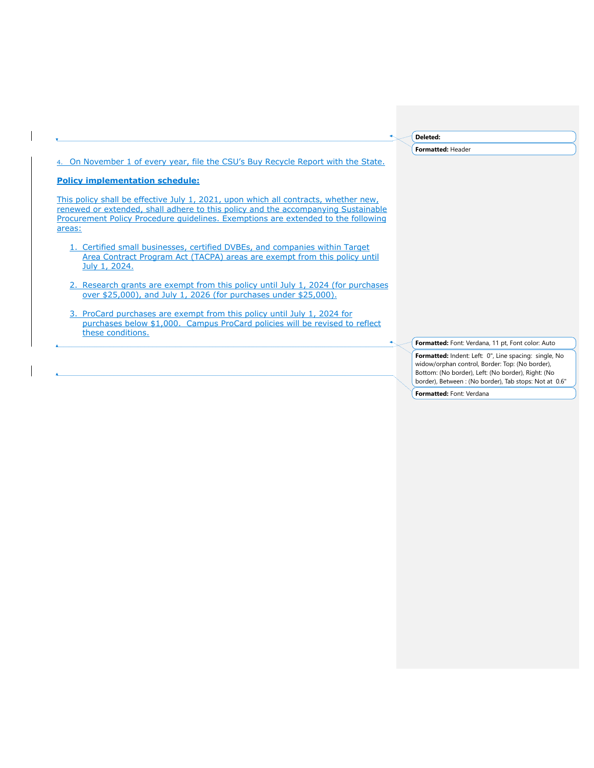|                                                                                                                                                                                                                                                                         | Deleted:                                                                                                                                                                                                                |
|-------------------------------------------------------------------------------------------------------------------------------------------------------------------------------------------------------------------------------------------------------------------------|-------------------------------------------------------------------------------------------------------------------------------------------------------------------------------------------------------------------------|
|                                                                                                                                                                                                                                                                         | Formatted: Header                                                                                                                                                                                                       |
| 4. On November 1 of every year, file the CSU's Buy Recycle Report with the State.                                                                                                                                                                                       |                                                                                                                                                                                                                         |
| <b>Policy implementation schedule:</b>                                                                                                                                                                                                                                  |                                                                                                                                                                                                                         |
| This policy shall be effective July 1, 2021, upon which all contracts, whether new,<br>renewed or extended, shall adhere to this policy and the accompanying Sustainable<br>Procurement Policy Procedure quidelines. Exemptions are extended to the following<br>areas: |                                                                                                                                                                                                                         |
| 1. Certified small businesses, certified DVBEs, and companies within Target<br>Area Contract Program Act (TACPA) areas are exempt from this policy until<br>July 1, 2024.                                                                                               |                                                                                                                                                                                                                         |
| 2. Research grants are exempt from this policy until July 1, 2024 (for purchases<br>over \$25,000), and July 1, 2026 (for purchases under \$25,000).                                                                                                                    |                                                                                                                                                                                                                         |
| 3. ProCard purchases are exempt from this policy until July 1, 2024 for<br>purchases below \$1,000. Campus ProCard policies will be revised to reflect<br>these conditions.                                                                                             |                                                                                                                                                                                                                         |
|                                                                                                                                                                                                                                                                         | Formatted: Font: Verdana, 11 pt, Font color: Auto                                                                                                                                                                       |
|                                                                                                                                                                                                                                                                         | Formatted: Indent: Left: 0", Line spacing: single, No<br>widow/orphan control, Border: Top: (No border),<br>Bottom: (No border), Left: (No border), Right: (No<br>border), Between: (No border), Tab stops: Not at 0.6" |
|                                                                                                                                                                                                                                                                         | Formatted: Font: Verdana                                                                                                                                                                                                |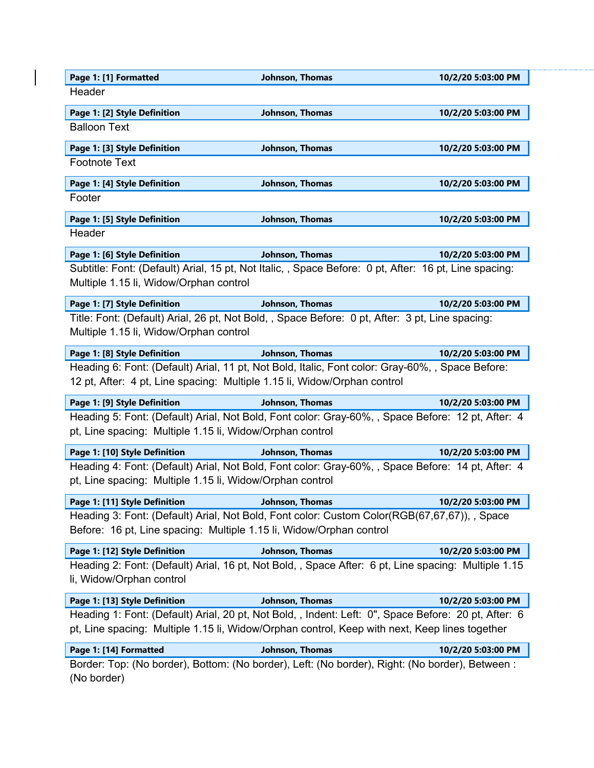| Page 1: [1] Formatted                                    | Johnson, Thomas                                                                                                                                                              | 10/2/20 5:03:00 PM |
|----------------------------------------------------------|------------------------------------------------------------------------------------------------------------------------------------------------------------------------------|--------------------|
| Header                                                   |                                                                                                                                                                              |                    |
| Page 1: [2] Style Definition                             | Johnson, Thomas                                                                                                                                                              | 10/2/20 5:03:00 PM |
| <b>Balloon Text</b>                                      |                                                                                                                                                                              |                    |
| Page 1: [3] Style Definition                             | Johnson, Thomas                                                                                                                                                              | 10/2/20 5:03:00 PM |
| <b>Footnote Text</b>                                     |                                                                                                                                                                              |                    |
| Page 1: [4] Style Definition                             | Johnson, Thomas                                                                                                                                                              | 10/2/20 5:03:00 PM |
| Footer                                                   |                                                                                                                                                                              |                    |
| Page 1: [5] Style Definition                             | Johnson, Thomas                                                                                                                                                              | 10/2/20 5:03:00 PM |
| Header                                                   |                                                                                                                                                                              |                    |
| Page 1: [6] Style Definition                             | Johnson, Thomas                                                                                                                                                              | 10/2/20 5:03:00 PM |
|                                                          | Subtitle: Font: (Default) Arial, 15 pt, Not Italic, , Space Before: 0 pt, After: 16 pt, Line spacing:                                                                        |                    |
| Multiple 1.15 li, Widow/Orphan control                   |                                                                                                                                                                              |                    |
| Page 1: [7] Style Definition                             | Johnson, Thomas                                                                                                                                                              | 10/2/20 5:03:00 PM |
|                                                          | Title: Font: (Default) Arial, 26 pt, Not Bold, , Space Before: 0 pt, After: 3 pt, Line spacing:                                                                              |                    |
| Multiple 1.15 li, Widow/Orphan control                   |                                                                                                                                                                              |                    |
| Page 1: [8] Style Definition                             | Johnson, Thomas                                                                                                                                                              | 10/2/20 5:03:00 PM |
|                                                          | Heading 6: Font: (Default) Arial, 11 pt, Not Bold, Italic, Font color: Gray-60%, , Space Before:<br>12 pt, After: 4 pt, Line spacing: Multiple 1.15 li, Widow/Orphan control |                    |
|                                                          |                                                                                                                                                                              |                    |
| Page 1: [9] Style Definition                             | Johnson, Thomas<br>Heading 5: Font: (Default) Arial, Not Bold, Font color: Gray-60%, , Space Before: 12 pt, After: 4                                                         | 10/2/20 5:03:00 PM |
| pt, Line spacing: Multiple 1.15 li, Widow/Orphan control |                                                                                                                                                                              |                    |
| Page 1: [10] Style Definition                            | Johnson, Thomas                                                                                                                                                              | 10/2/20 5:03:00 PM |
| pt, Line spacing: Multiple 1.15 li, Widow/Orphan control | Heading 4: Font: (Default) Arial, Not Bold, Font color: Gray-60%, , Space Before: 14 pt, After: 4                                                                            |                    |
| Page 1: [11] Style Definition                            | Johnson, Thomas                                                                                                                                                              | 10/2/20 5:03:00 PM |
|                                                          | Heading 3: Font: (Default) Arial, Not Bold, Font color: Custom Color(RGB(67,67,67)), , Space                                                                                 |                    |
|                                                          | Before: 16 pt, Line spacing: Multiple 1.15 li, Widow/Orphan control                                                                                                          |                    |
| Page 1: [12] Style Definition                            | Johnson, Thomas                                                                                                                                                              | 10/2/20 5:03:00 PM |
| li, Widow/Orphan control                                 | Heading 2: Font: (Default) Arial, 16 pt, Not Bold, , Space After: 6 pt, Line spacing: Multiple 1.15                                                                          |                    |
| Page 1: [13] Style Definition                            | Johnson, Thomas                                                                                                                                                              | 10/2/20 5:03:00 PM |
|                                                          | Heading 1: Font: (Default) Arial, 20 pt, Not Bold, , Indent: Left: 0", Space Before: 20 pt, After: 6                                                                         |                    |
|                                                          | pt, Line spacing: Multiple 1.15 li, Widow/Orphan control, Keep with next, Keep lines together                                                                                |                    |
| Page 1: [14] Formatted                                   | Johnson, Thomas                                                                                                                                                              | 10/2/20 5:03:00 PM |
| (No border)                                              | Border: Top: (No border), Bottom: (No border), Left: (No border), Right: (No border), Between :                                                                              |                    |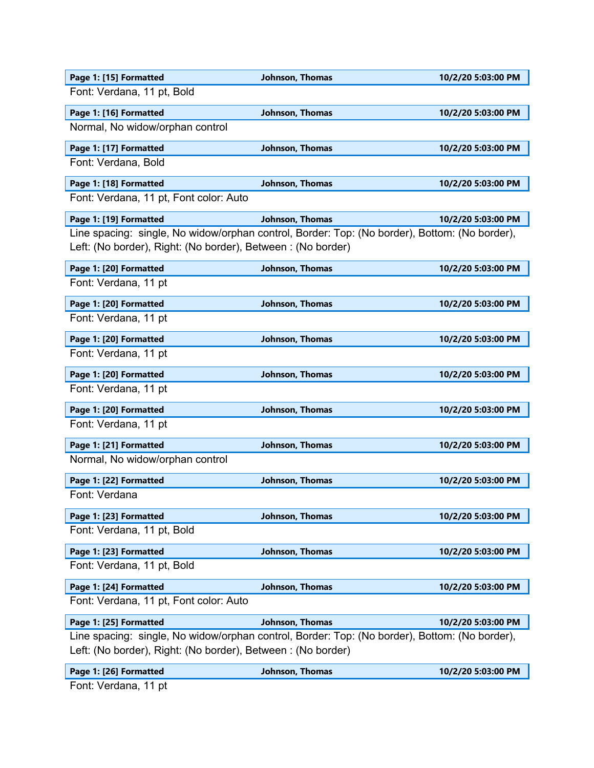| Page 1: [15] Formatted                                                                        | Johnson, Thomas        | 10/2/20 5:03:00 PM |
|-----------------------------------------------------------------------------------------------|------------------------|--------------------|
| Font: Verdana, 11 pt, Bold                                                                    |                        |                    |
| Page 1: [16] Formatted                                                                        | Johnson, Thomas        | 10/2/20 5:03:00 PM |
| Normal, No widow/orphan control                                                               |                        |                    |
| Page 1: [17] Formatted                                                                        | Johnson, Thomas        | 10/2/20 5:03:00 PM |
| Font: Verdana, Bold                                                                           |                        |                    |
| Page 1: [18] Formatted                                                                        | Johnson, Thomas        | 10/2/20 5:03:00 PM |
| Font: Verdana, 11 pt, Font color: Auto                                                        |                        |                    |
| Page 1: [19] Formatted                                                                        | <b>Johnson, Thomas</b> | 10/2/20 5:03:00 PM |
| Line spacing: single, No widow/orphan control, Border: Top: (No border), Bottom: (No border), |                        |                    |
| Left: (No border), Right: (No border), Between: (No border)                                   |                        |                    |
| Page 1: [20] Formatted                                                                        | Johnson, Thomas        | 10/2/20 5:03:00 PM |
| Font: Verdana, 11 pt                                                                          |                        |                    |
| Page 1: [20] Formatted                                                                        | Johnson, Thomas        | 10/2/20 5:03:00 PM |
| Font: Verdana, 11 pt                                                                          |                        |                    |
| Page 1: [20] Formatted                                                                        | Johnson, Thomas        | 10/2/20 5:03:00 PM |
| Font: Verdana, 11 pt                                                                          |                        |                    |
| Page 1: [20] Formatted                                                                        | Johnson, Thomas        | 10/2/20 5:03:00 PM |
| Font: Verdana, 11 pt                                                                          |                        |                    |
| Page 1: [20] Formatted                                                                        | Johnson, Thomas        | 10/2/20 5:03:00 PM |
| Font: Verdana, 11 pt                                                                          |                        |                    |
| Page 1: [21] Formatted                                                                        | Johnson, Thomas        | 10/2/20 5:03:00 PM |
| Normal, No widow/orphan control                                                               |                        |                    |
| Page 1: [22] Formatted                                                                        | Johnson, Thomas        | 10/2/20 5:03:00 PM |
| Font: Verdana                                                                                 |                        |                    |
| Page 1: [23] Formatted                                                                        | Johnson, Thomas        | 10/2/20 5:03:00 PM |
| Font: Verdana, 11 pt, Bold                                                                    |                        |                    |
| Page 1: [23] Formatted                                                                        | Johnson, Thomas        | 10/2/20 5:03:00 PM |
| Font: Verdana, 11 pt, Bold                                                                    |                        |                    |
| Page 1: [24] Formatted                                                                        | Johnson, Thomas        | 10/2/20 5:03:00 PM |
| Font: Verdana, 11 pt, Font color: Auto                                                        |                        |                    |
| Page 1: [25] Formatted                                                                        | Johnson, Thomas        | 10/2/20 5:03:00 PM |
| Line spacing: single, No widow/orphan control, Border: Top: (No border), Bottom: (No border), |                        |                    |
| Left: (No border), Right: (No border), Between : (No border)                                  |                        |                    |
| Page 1: [26] Formatted                                                                        | Johnson, Thomas        | 10/2/20 5:03:00 PM |

Font: Verdana, 11 pt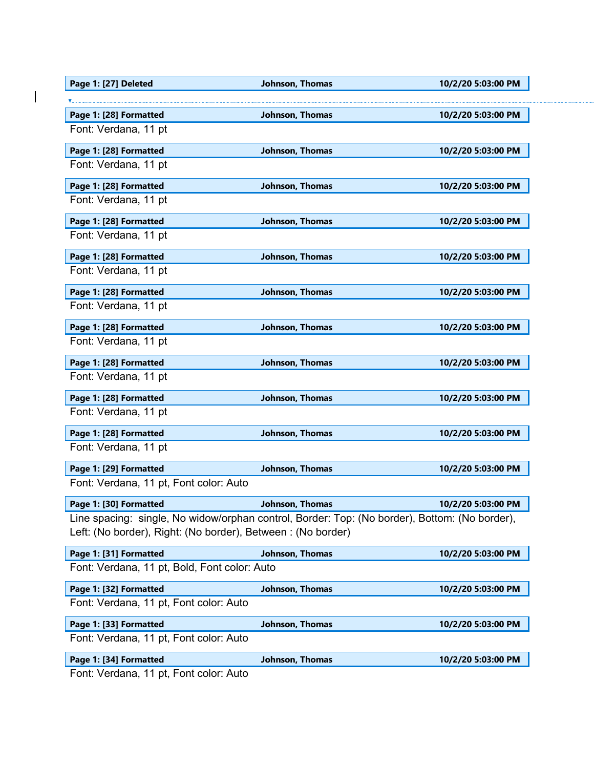| Page 1: [27] Deleted                                                                          | Johnson, Thomas | 10/2/20 5:03:00 PM |
|-----------------------------------------------------------------------------------------------|-----------------|--------------------|
|                                                                                               |                 |                    |
| Page 1: [28] Formatted                                                                        | Johnson, Thomas | 10/2/20 5:03:00 PM |
| Font: Verdana, 11 pt                                                                          |                 |                    |
| Page 1: [28] Formatted                                                                        | Johnson, Thomas | 10/2/20 5:03:00 PM |
| Font: Verdana, 11 pt                                                                          |                 |                    |
| Page 1: [28] Formatted                                                                        | Johnson, Thomas | 10/2/20 5:03:00 PM |
| Font: Verdana, 11 pt                                                                          |                 |                    |
| Page 1: [28] Formatted                                                                        | Johnson, Thomas | 10/2/20 5:03:00 PM |
| Font: Verdana, 11 pt                                                                          |                 |                    |
| Page 1: [28] Formatted                                                                        | Johnson, Thomas | 10/2/20 5:03:00 PM |
| Font: Verdana, 11 pt                                                                          |                 |                    |
| Page 1: [28] Formatted                                                                        | Johnson, Thomas | 10/2/20 5:03:00 PM |
| Font: Verdana, 11 pt                                                                          |                 |                    |
| Page 1: [28] Formatted                                                                        | Johnson, Thomas | 10/2/20 5:03:00 PM |
| Font: Verdana, 11 pt                                                                          |                 |                    |
| Page 1: [28] Formatted                                                                        | Johnson, Thomas | 10/2/20 5:03:00 PM |
| Font: Verdana, 11 pt                                                                          |                 |                    |
| Page 1: [28] Formatted                                                                        | Johnson, Thomas | 10/2/20 5:03:00 PM |
| Font: Verdana, 11 pt                                                                          |                 |                    |
| Page 1: [28] Formatted                                                                        | Johnson, Thomas | 10/2/20 5:03:00 PM |
| Font: Verdana, 11 pt                                                                          |                 |                    |
| Page 1: [29] Formatted                                                                        | Johnson, Thomas | 10/2/20 5:03:00 PM |
| Font: Verdana, 11 pt, Font color: Auto                                                        |                 |                    |
| Page 1: [30] Formatted                                                                        | Johnson, Thomas | 10/2/20 5:03:00 PM |
| Line spacing: single, No widow/orphan control, Border: Top: (No border), Bottom: (No border), |                 |                    |
| Left: (No border), Right: (No border), Between: (No border)                                   |                 |                    |
| Page 1: [31] Formatted                                                                        | Johnson, Thomas | 10/2/20 5:03:00 PM |
| Font: Verdana, 11 pt, Bold, Font color: Auto                                                  |                 |                    |
| Page 1: [32] Formatted                                                                        | Johnson, Thomas | 10/2/20 5:03:00 PM |
| Font: Verdana, 11 pt, Font color: Auto                                                        |                 |                    |
| Page 1: [33] Formatted                                                                        | Johnson, Thomas | 10/2/20 5:03:00 PM |
| Font: Verdana, 11 pt, Font color: Auto                                                        |                 |                    |
| Page 1: [34] Formatted                                                                        | Johnson, Thomas | 10/2/20 5:03:00 PM |
| Eant: Vardana, 11 nt, Eant color: Auto                                                        |                 |                    |

Font: Verdana, 11 pt, Font color: Auto

 $\overline{\phantom{a}}$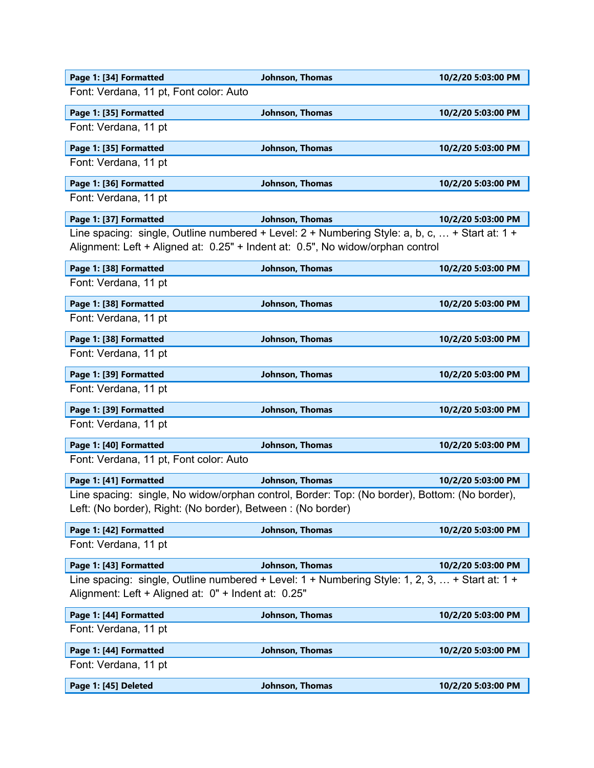| Page 1: [34] Formatted                                                                           | Johnson, Thomas        | 10/2/20 5:03:00 PM |
|--------------------------------------------------------------------------------------------------|------------------------|--------------------|
| Font: Verdana, 11 pt, Font color: Auto                                                           |                        |                    |
| Page 1: [35] Formatted                                                                           | Johnson, Thomas        | 10/2/20 5:03:00 PM |
| Font: Verdana, 11 pt                                                                             |                        |                    |
| Page 1: [35] Formatted                                                                           | Johnson, Thomas        | 10/2/20 5:03:00 PM |
| Font: Verdana, 11 pt                                                                             |                        |                    |
| Page 1: [36] Formatted                                                                           | Johnson, Thomas        | 10/2/20 5:03:00 PM |
| Font: Verdana, 11 pt                                                                             |                        |                    |
| Page 1: [37] Formatted                                                                           | Johnson, Thomas        | 10/2/20 5:03:00 PM |
| Line spacing: single, Outline numbered + Level: $2 +$ Numbering Style: a, b, c,  + Start at: 1 + |                        |                    |
| Alignment: Left + Aligned at: 0.25" + Indent at: 0.5", No widow/orphan control                   |                        |                    |
| Page 1: [38] Formatted                                                                           | Johnson, Thomas        | 10/2/20 5:03:00 PM |
| Font: Verdana, 11 pt                                                                             |                        |                    |
| Page 1: [38] Formatted                                                                           | Johnson, Thomas        | 10/2/20 5:03:00 PM |
| Font: Verdana, 11 pt                                                                             |                        |                    |
| Page 1: [38] Formatted                                                                           | Johnson, Thomas        | 10/2/20 5:03:00 PM |
| Font: Verdana, 11 pt                                                                             |                        |                    |
| Page 1: [39] Formatted                                                                           | Johnson, Thomas        | 10/2/20 5:03:00 PM |
| Font: Verdana, 11 pt                                                                             |                        |                    |
| Page 1: [39] Formatted                                                                           | Johnson, Thomas        | 10/2/20 5:03:00 PM |
| Font: Verdana, 11 pt                                                                             |                        |                    |
| Page 1: [40] Formatted                                                                           | Johnson, Thomas        | 10/2/20 5:03:00 PM |
| Font: Verdana, 11 pt, Font color: Auto                                                           |                        |                    |
| Page 1: [41] Formatted                                                                           | Johnson, Thomas        | 10/2/20 5:03:00 PM |
| Line spacing: single, No widow/orphan control, Border: Top: (No border), Bottom: (No border),    |                        |                    |
| Left: (No border), Right: (No border), Between : (No border)                                     |                        |                    |
| Page 1: [42] Formatted                                                                           | Johnson, Thomas        | 10/2/20 5:03:00 PM |
| Font: Verdana, 11 pt                                                                             |                        |                    |
| Page 1: [43] Formatted                                                                           | <b>Johnson, Thomas</b> | 10/2/20 5:03:00 PM |
| Line spacing: single, Outline numbered + Level: 1 + Numbering Style: 1, 2, 3,  + Start at: 1 +   |                        |                    |
| Alignment: Left + Aligned at: 0" + Indent at: 0.25"                                              |                        |                    |
| Page 1: [44] Formatted                                                                           | Johnson, Thomas        | 10/2/20 5:03:00 PM |
| Font: Verdana, 11 pt                                                                             |                        |                    |
| Page 1: [44] Formatted                                                                           | Johnson, Thomas        | 10/2/20 5:03:00 PM |
| Font: Verdana, 11 pt                                                                             |                        |                    |
| Page 1: [45] Deleted                                                                             | Johnson, Thomas        | 10/2/20 5:03:00 PM |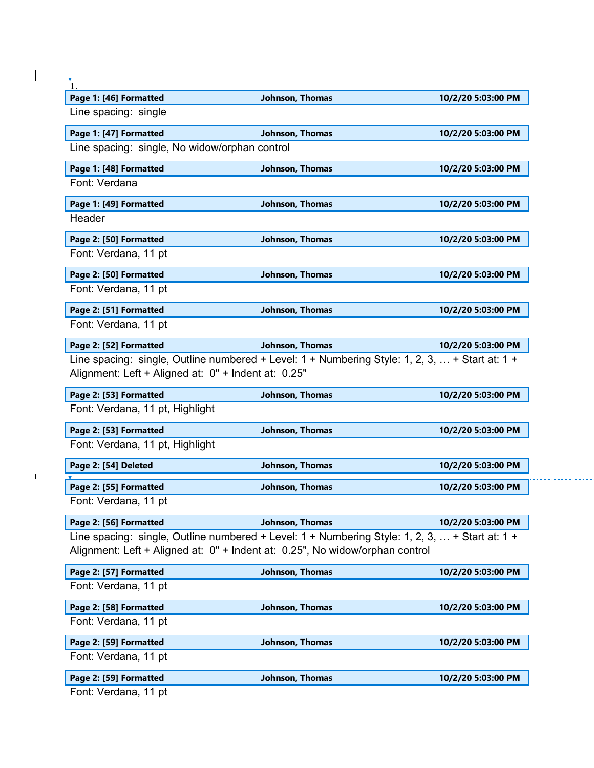| Page 1: [46] Formatted                              | Johnson, Thomas                                                                                                                                                                | 10/2/20 5:03:00 PM                                                                                                               |
|-----------------------------------------------------|--------------------------------------------------------------------------------------------------------------------------------------------------------------------------------|----------------------------------------------------------------------------------------------------------------------------------|
| Line spacing: single                                |                                                                                                                                                                                |                                                                                                                                  |
| Page 1: [47] Formatted                              | Johnson, Thomas                                                                                                                                                                | 10/2/20 5:03:00 PM                                                                                                               |
| Line spacing: single, No widow/orphan control       |                                                                                                                                                                                |                                                                                                                                  |
| Page 1: [48] Formatted                              | Johnson, Thomas                                                                                                                                                                | 10/2/20 5:03:00 PM                                                                                                               |
| Font: Verdana                                       |                                                                                                                                                                                |                                                                                                                                  |
| Page 1: [49] Formatted                              | Johnson, Thomas                                                                                                                                                                | 10/2/20 5:03:00 PM                                                                                                               |
| Header                                              |                                                                                                                                                                                |                                                                                                                                  |
| Page 2: [50] Formatted                              | Johnson, Thomas                                                                                                                                                                | 10/2/20 5:03:00 PM                                                                                                               |
| Font: Verdana, 11 pt                                |                                                                                                                                                                                |                                                                                                                                  |
| Page 2: [50] Formatted                              | Johnson, Thomas                                                                                                                                                                | 10/2/20 5:03:00 PM                                                                                                               |
| Font: Verdana, 11 pt                                |                                                                                                                                                                                |                                                                                                                                  |
| Page 2: [51] Formatted                              | Johnson, Thomas                                                                                                                                                                | 10/2/20 5:03:00 PM                                                                                                               |
| Font: Verdana, 11 pt                                |                                                                                                                                                                                |                                                                                                                                  |
| Page 2: [52] Formatted                              | Johnson, Thomas                                                                                                                                                                | 10/2/20 5:03:00 PM                                                                                                               |
|                                                     |                                                                                                                                                                                |                                                                                                                                  |
| Alignment: Left + Aligned at: 0" + Indent at: 0.25" | Line spacing: single, Outline numbered + Level: $1 +$ Numbering Style: 1, 2, 3,  + Start at: $1 +$                                                                             |                                                                                                                                  |
| Page 2: [53] Formatted                              | Johnson, Thomas                                                                                                                                                                |                                                                                                                                  |
| Font: Verdana, 11 pt, Highlight                     |                                                                                                                                                                                |                                                                                                                                  |
| Page 2: [53] Formatted                              | Johnson, Thomas                                                                                                                                                                |                                                                                                                                  |
| Font: Verdana, 11 pt, Highlight                     |                                                                                                                                                                                |                                                                                                                                  |
| Page 2: [54] Deleted                                | Johnson, Thomas                                                                                                                                                                |                                                                                                                                  |
| Page 2: [55] Formatted                              | Johnson, Thomas                                                                                                                                                                |                                                                                                                                  |
| Font: Verdana, 11 pt                                |                                                                                                                                                                                |                                                                                                                                  |
| Page 2: [56] Formatted                              | Johnson, Thomas                                                                                                                                                                |                                                                                                                                  |
|                                                     | Line spacing: single, Outline numbered + Level: 1 + Numbering Style: 1, 2, 3,  + Start at: 1 +<br>Alignment: Left + Aligned at: 0" + Indent at: 0.25", No widow/orphan control |                                                                                                                                  |
| Page 2: [57] Formatted                              | Johnson, Thomas                                                                                                                                                                | 10/2/20 5:03:00 PM<br>10/2/20 5:03:00 PM<br>10/2/20 5:03:00 PM<br>10/2/20 5:03:00 PM<br>10/2/20 5:03:00 PM<br>10/2/20 5:03:00 PM |
| Font: Verdana, 11 pt                                |                                                                                                                                                                                |                                                                                                                                  |
| Page 2: [58] Formatted                              | Johnson, Thomas                                                                                                                                                                | 10/2/20 5:03:00 PM                                                                                                               |
| Font: Verdana, 11 pt                                |                                                                                                                                                                                |                                                                                                                                  |
| Page 2: [59] Formatted                              | Johnson, Thomas                                                                                                                                                                | 10/2/20 5:03:00 PM                                                                                                               |
| Font: Verdana, 11 pt                                |                                                                                                                                                                                |                                                                                                                                  |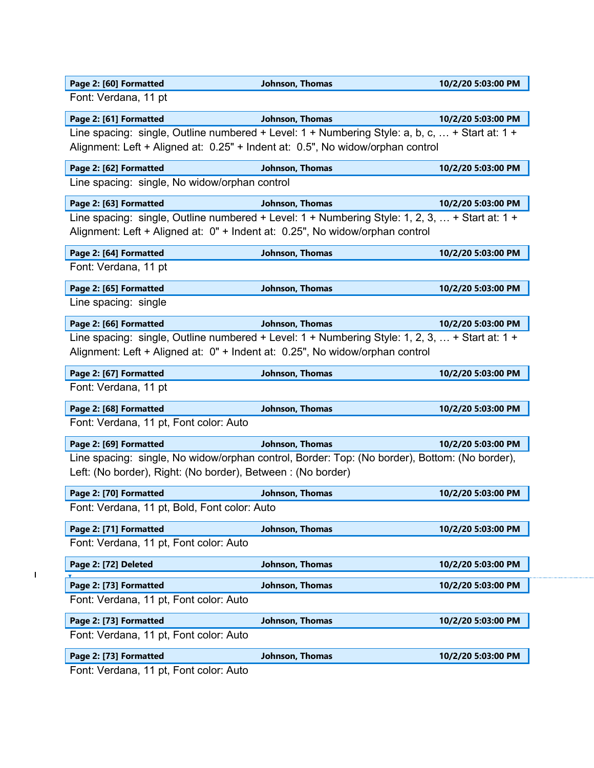|  |  |  | Page 2: [60] Formatted |  |
|--|--|--|------------------------|--|
|--|--|--|------------------------|--|

Font: Verdana, 11 pt

# **Page 2: [61] Formatted Johnson, Thomas 10/2/20 5:03:00 PM**

Line spacing: single, Outline numbered + Level: 1 + Numbering Style: a, b, c, ... + Start at: 1 + Alignment: Left + Aligned at: 0.25" + Indent at: 0.5", No widow/orphan control

## **Page 2: [62] Formatted Johnson, Thomas 10/2/20 5:03:00 PM**

Line spacing: single, No widow/orphan control

**Page 2: [63] Formatted Johnson, Thomas 10/2/20 5:03:00 PM** Line spacing: single, Outline numbered + Level: 1 + Numbering Style: 1, 2, 3, ... + Start at: 1 + Alignment: Left + Aligned at: 0" + Indent at: 0.25", No widow/orphan control

| Page 2: [64] Formatted | Johnson, Thomas | 10/2/20 5:03:00 PM |
|------------------------|-----------------|--------------------|
| Font: Verdana, 11 pt   |                 |                    |

**Page 2: [65] Formatted Johnson, Thomas 10/2/20 5:03:00 PM** Line spacing: single

| Page 2: [66] Formatted | Johnson, Thomas                                                                                    | 10/2/20 5:03:00 PM |
|------------------------|----------------------------------------------------------------------------------------------------|--------------------|
|                        | Line spacing: single, Outline numbered + Level: $1 +$ Numbering Style: 1, 2, 3,  + Start at: $1 +$ |                    |
|                        | Alignment: Left + Aligned at: 0" + Indent at: 0.25", No widow/orphan control                       |                    |

| Page 2: [67] Formatted | Johnson, Thomas | 10/2/20 5:03:00 PM |
|------------------------|-----------------|--------------------|
| Font: Verdana, 11 pt   |                 |                    |

| Page 2: [68] Formatted                 | Johnson, Thomas | 10/2/20 5:03:00 PM |
|----------------------------------------|-----------------|--------------------|
| Font: Verdana, 11 pt, Font color: Auto |                 |                    |

**Page 2: [69] Formatted Johnson, Thomas 10/2/20 5:03:00 PM** Line spacing: single, No widow/orphan control, Border: Top: (No border), Bottom: (No border), Left: (No border), Right: (No border), Between : (No border)

| Page 2: [70] Formatted                       | Johnson, Thomas | 10/2/20 5:03:00 PM |
|----------------------------------------------|-----------------|--------------------|
| Font: Verdana, 11 pt, Bold, Font color: Auto |                 |                    |

| Page 2: [71] Formatted                 | Johnson, Thomas | 10/2/20 5:03:00 PM |
|----------------------------------------|-----------------|--------------------|
| Font: Verdana, 11 pt, Font color: Auto |                 |                    |
| Page 2: [72] Deleted                   | Johnson, Thomas | 10/2/20 5:03:00 PM |
|                                        |                 |                    |
| Page 2: [73] Formatted                 | Johnson, Thomas | 10/2/20 5:03:00 PM |
| Font: Verdana, 11 pt, Font color: Auto |                 |                    |
| Page 2: [73] Formatted                 | Johnson, Thomas | 10/2/20 5:03:00 PM |
| Font: Verdana, 11 pt, Font color: Auto |                 |                    |
| Page 2: [73] Formatted                 | Johnson, Thomas | 10/2/20 5:03:00 PM |

Font: Verdana, 11 pt, Font color: Auto

 $\mathbf{I}$ 

**Page 2: [60] Formatted Johnson, Thomas 10/2/20 5:03:00 PM**